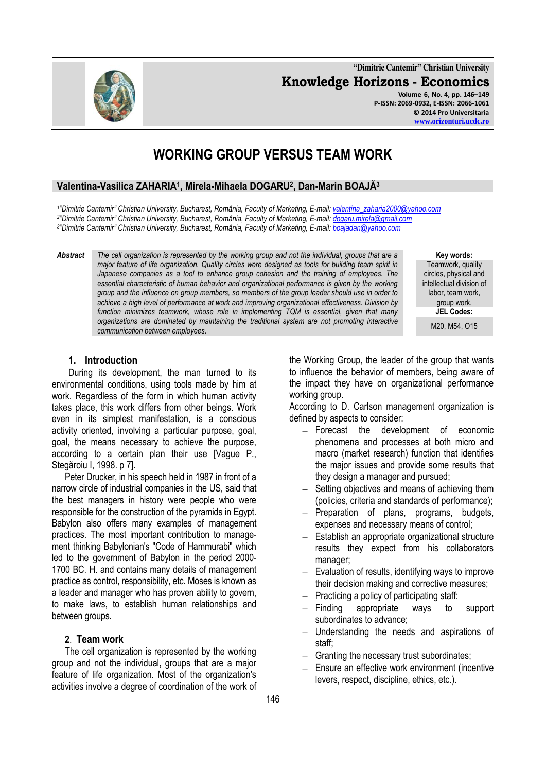**"Dimitrie Cantemir" Christian University Knowledge Horizons - Economics Volume 6, No. 4, pp. 146–149 P-ISSN: 2069-0932, E-ISSN: 2066-1061**

# **WORKING GROUP VERSUS TEAM WORK**

# **Valentina-Vasilica ZAHARIA<sup>1</sup> , Mirela-Mihaela DOGARU<sup>2</sup> , Dan-Marin BOAJĂ<sup>3</sup>**

*1 "Dimitrie Cantemir" Christian University, Bucharest, România, Faculty of Marketing, E-mail: [valentina\\_zaharia2000@yahoo.com](mailto:valentina_zaharia2000@yahoo.com) 2 "Dimitrie Cantemir" Christian University, Bucharest, România, Faculty of Marketing, E-mail: [dogaru.mirela@gmail.com](mailto:dogaru.mirela@gmail.com) 3 "Dimitrie Cantemir" Christian University, Bucharest, România, Faculty of Marketing, E-mail: [boajadan@yahoo.com](mailto:boajadan@yahoo.com)*

*Abstract The cell organization is represented by the working group and not the individual, groups that are a major feature of life organization. Quality circles were designed as tools for building team spirit in Japanese companies as a tool to enhance group cohesion and the training of employees. The essential characteristic of human behavior and organizational performance is given by the working group and the influence on group members, so members of the group leader should use in order to achieve a high level of performance at work and improving organizational effectiveness. Division by function minimizes teamwork, whose role in implementing TQM is essential, given that many organizations are dominated by maintaining the traditional system are not promoting interactive communication between employees.*

**Key words:** Teamwork, quality circles, physical and intellectual division of labor, team work, group work. **JEL Codes:** M20, M54, O15

#### **1. Introduction**

During its development, the man turned to its environmental conditions, using tools made by him at work. Regardless of the form in which human activity takes place, this work differs from other beings. Work even in its simplest manifestation, is a conscious activity oriented, involving a particular purpose, goal, goal, the means necessary to achieve the purpose, according to a certain plan their use [Vague P., Stegăroiu I, 1998. p 7].

Peter Drucker, in his speech held in 1987 in front of a narrow circle of industrial companies in the US, said that the best managers in history were people who were responsible for the construction of the pyramids in Egypt. Babylon also offers many examples of management practices. The most important contribution to management thinking Babylonian's "Code of Hammurabi" which led to the government of Babylon in the period 2000- 1700 BC. H. and contains many details of management practice as control, responsibility, etc. Moses is known as a leader and manager who has proven ability to govern, to make laws, to establish human relationships and between groups.

#### **2**. **Team work**

The cell organization is represented by the working group and not the individual, groups that are a major feature of life organization. Most of the organization's activities involve a degree of coordination of the work of the Working Group, the leader of the group that wants to influence the behavior of members, being aware of the impact they have on organizational performance working group.

According to D. Carlson management organization is defined by aspects to consider:

- Forecast the development of economic phenomena and processes at both micro and macro (market research) function that identifies the major issues and provide some results that they design a manager and pursued;
- Setting objectives and means of achieving them (policies, criteria and standards of performance);
- Preparation of plans, programs, budgets, expenses and necessary means of control;
- $\equiv$ Establish an appropriate organizational structure results they expect from his collaborators manager;
- $-$  Evaluation of results, identifying ways to improve their decision making and corrective measures;
- Practicing a policy of participating staff:
- Finding appropriate ways to support subordinates to advance;
- Understanding the needs and aspirations of  $\equiv$ staff;
- $-$  Granting the necessary trust subordinates;
- $-$  Ensure an effective work environment (incentive levers, respect, discipline, ethics, etc.).

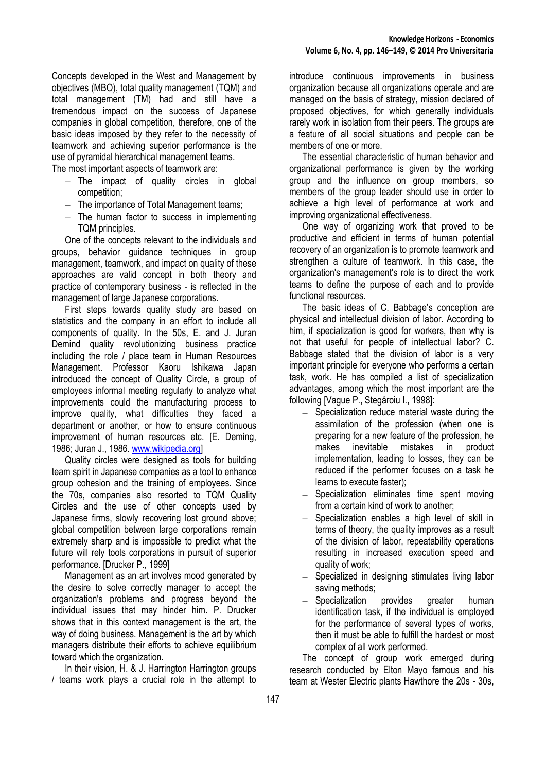Concepts developed in the West and Management by objectives (MBO), total quality management (TQM) and total management (TM) had and still have a tremendous impact on the success of Japanese companies in global competition, therefore, one of the basic ideas imposed by they refer to the necessity of teamwork and achieving superior performance is the use of pyramidal hierarchical management teams.

The most important aspects of teamwork are:

- $-$  The impact of quality circles in global competition;
- The importance of Total Management teams;
- $-$  The human factor to success in implementing TQM principles.

One of the concepts relevant to the individuals and groups, behavior guidance techniques in group management, teamwork, and impact on quality of these approaches are valid concept in both theory and practice of contemporary business - is reflected in the management of large Japanese corporations.

First steps towards quality study are based on statistics and the company in an effort to include all components of quality. In the 50s, E. and J. Juran Demind quality revolutionizing business practice including the role / place team in Human Resources Management. Professor Kaoru Ishikawa Japan introduced the concept of Quality Circle, a group of employees informal meeting regularly to analyze what improvements could the manufacturing process to improve quality, what difficulties they faced a department or another, or how to ensure continuous improvement of human resources etc. [E. Deming, 1986; Juran J., 1986. [www.wikipedia.org\]](http://www.wikipedia.org/)

Quality circles were designed as tools for building team spirit in Japanese companies as a tool to enhance group cohesion and the training of employees. Since the 70s, companies also resorted to TQM Quality Circles and the use of other concepts used by Japanese firms, slowly recovering lost ground above; global competition between large corporations remain extremely sharp and is impossible to predict what the future will rely tools corporations in pursuit of superior performance. [Drucker P., 1999]

Management as an art involves mood generated by the desire to solve correctly manager to accept the organization's problems and progress beyond the individual issues that may hinder him. P. Drucker shows that in this context management is the art, the way of doing business. Management is the art by which managers distribute their efforts to achieve equilibrium toward which the organization.

In their vision, H. & J. Harrington Harrington groups / teams work plays a crucial role in the attempt to introduce continuous improvements in business organization because all organizations operate and are managed on the basis of strategy, mission declared of proposed objectives, for which generally individuals rarely work in isolation from their peers. The groups are a feature of all social situations and people can be members of one or more.

The essential characteristic of human behavior and organizational performance is given by the working group and the influence on group members, so members of the group leader should use in order to achieve a high level of performance at work and improving organizational effectiveness.

One way of organizing work that proved to be productive and efficient in terms of human potential recovery of an organization is to promote teamwork and strengthen a culture of teamwork. In this case, the organization's management's role is to direct the work teams to define the purpose of each and to provide functional resources.

The basic ideas of C. Babbage's conception are physical and intellectual division of labor. According to him, if specialization is good for workers, then why is not that useful for people of intellectual labor? C. Babbage stated that the division of labor is a very important principle for everyone who performs a certain task, work. He has compiled a list of specialization advantages, among which the most important are the following [Vague P., Stegăroiu I., 1998]:

- $-$  Specialization reduce material waste during the assimilation of the profession (when one is preparing for a new feature of the profession, he makes inevitable mistakes in product implementation, leading to losses, they can be reduced if the performer focuses on a task he learns to execute faster);
- Specialization eliminates time spent moving from a certain kind of work to another;
- $-$  Specialization enables a high level of skill in terms of theory, the quality improves as a result of the division of labor, repeatability operations resulting in increased execution speed and quality of work;
- Specialized in designing stimulates living labor saving methods;
- Specialization provides greater human identification task, if the individual is employed for the performance of several types of works, then it must be able to fulfill the hardest or most complex of all work performed.

The concept of group work emerged during research conducted by Elton Mayo famous and his team at Wester Electric plants Hawthore the 20s - 30s,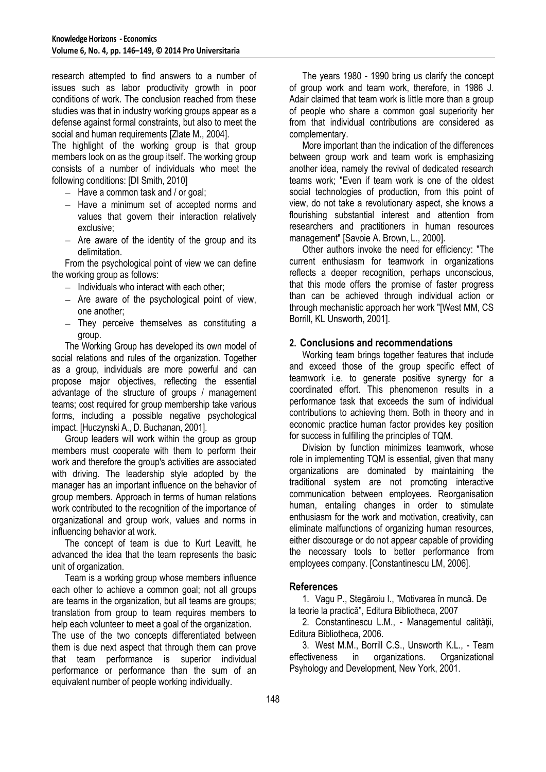research attempted to find answers to a number of issues such as labor productivity growth in poor conditions of work. The conclusion reached from these studies was that in industry working groups appear as a defense against formal constraints, but also to meet the social and human requirements [Zlate M., 2004].

The highlight of the working group is that group members look on as the group itself. The working group consists of a number of individuals who meet the following conditions: [DI Smith, 2010]

- $-$  Have a common task and / or goal;
- $-$  Have a minimum set of accepted norms and values that govern their interaction relatively exclusive;
- $-$  Are aware of the identity of the group and its delimitation.

From the psychological point of view we can define the working group as follows:

- $-$  Individuals who interact with each other;
- $-$  Are aware of the psychological point of view, one another;
- $-$  They perceive themselves as constituting a group.

The Working Group has developed its own model of social relations and rules of the organization. Together as a group, individuals are more powerful and can propose major objectives, reflecting the essential advantage of the structure of groups / management teams; cost required for group membership take various forms, including a possible negative psychological impact. [Huczynski A., D. Buchanan, 2001].

Group leaders will work within the group as group members must cooperate with them to perform their work and therefore the group's activities are associated with driving. The leadership style adopted by the manager has an important influence on the behavior of group members. Approach in terms of human relations work contributed to the recognition of the importance of organizational and group work, values and norms in influencing behavior at work.

The concept of team is due to Kurt Leavitt, he advanced the idea that the team represents the basic unit of organization.

Team is a working group whose members influence each other to achieve a common goal; not all groups are teams in the organization, but all teams are groups; translation from group to team requires members to help each volunteer to meet a goal of the organization. The use of the two concepts differentiated between them is due next aspect that through them can prove that team performance is superior individual performance or performance than the sum of an equivalent number of people working individually.

The years 1980 - 1990 bring us clarify the concept of group work and team work, therefore, in 1986 J. Adair claimed that team work is little more than a group of people who share a common goal superiority her from that individual contributions are considered as complementary.

More important than the indication of the differences between group work and team work is emphasizing another idea, namely the revival of dedicated research teams work; "Even if team work is one of the oldest social technologies of production, from this point of view, do not take a revolutionary aspect, she knows a flourishing substantial interest and attention from researchers and practitioners in human resources management" [Savoie A. Brown, L., 2000].

Other authors invoke the need for efficiency: "The current enthusiasm for teamwork in organizations reflects a deeper recognition, perhaps unconscious, that this mode offers the promise of faster progress than can be achieved through individual action or through mechanistic approach her work "[West MM, CS Borrill, KL Unsworth, 2001].

## **2. Conclusions and recommendations**

Working team brings together features that include and exceed those of the group specific effect of teamwork i.e. to generate positive synergy for a coordinated effort. This phenomenon results in a performance task that exceeds the sum of individual contributions to achieving them. Both in theory and in economic practice human factor provides key position for success in fulfilling the principles of TQM.

Division by function minimizes teamwork, whose role in implementing TQM is essential, given that many organizations are dominated by maintaining the traditional system are not promoting interactive communication between employees. Reorganisation human, entailing changes in order to stimulate enthusiasm for the work and motivation, creativity, can eliminate malfunctions of organizing human resources, either discourage or do not appear capable of providing the necessary tools to better performance from employees company. [Constantinescu LM, 2006].

## **References**

1. Vagu P., Stegăroiu I., "Motivarea în muncă. De la teorie la practică", Editura Bibliotheca, 2007

2. Constantinescu L.M., - Managementul calităţii, Editura Bibliotheca, 2006.

3. West M.M., Borrill C.S., Unsworth K.L., - Team effectiveness in organizations. Organizational Psyhology and Development, New York, 2001.